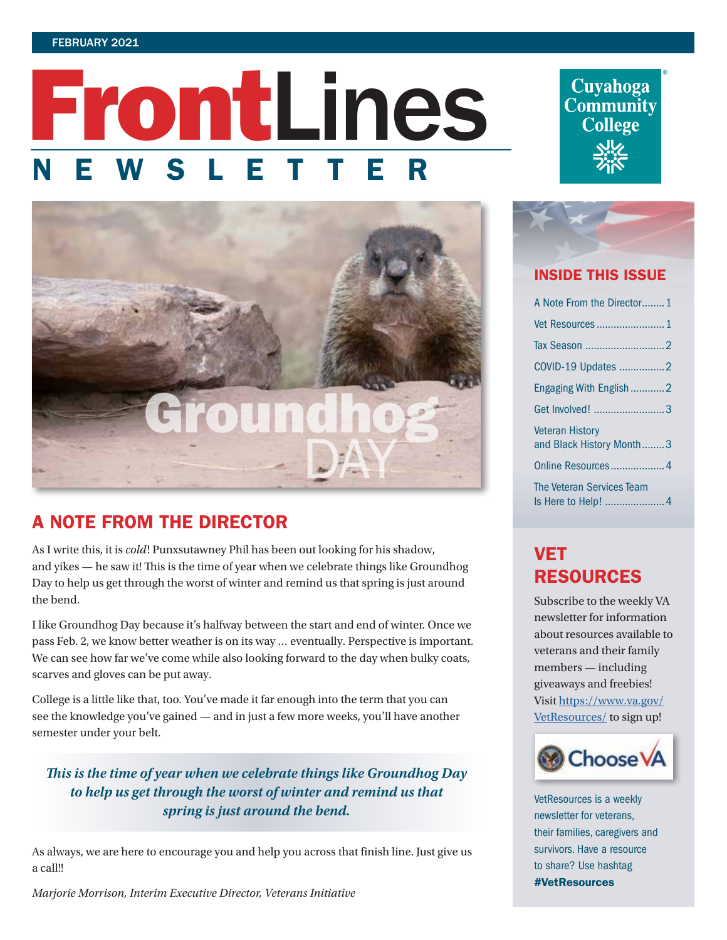# FrontLines SLETT



## A NOTE FROM THE DIRECTOR

As I write this, it is *cold*! Punxsutawney Phil has been out looking for his shadow, and yikes — he saw it! This is the time of year when we celebrate things like Groundhog Day to help us get through the worst of winter and remind us that spring is just around the bend.

I like Groundhog Day because it's halfway between the start and end of winter. Once we pass Feb. 2, we know better weather is on its way … eventually. Perspective is important. We can see how far we've come while also looking forward to the day when bulky coats, scarves and gloves can be put away.

College is a little like that, too. You've made it far enough into the term that you can see the knowledge you've gained — and in just a few more weeks, you'll have another semester under your belt.

*This is the time of year when we celebrate things like Groundhog Day to help us get through the worst of winter and remind us that spring is just around the bend.* 

As always, we are here to encourage you and help you across that finish line. Just give us a call!!

*Marjorie Morrison, Interim Executive Director, Veterans Initiative*

**Cuyahoga**<br>**Community College** 



### INSIDE THIS ISSUE

| A Note From the Director1                          |
|----------------------------------------------------|
|                                                    |
|                                                    |
| COVID-19 Updates 2                                 |
| Engaging With English 2                            |
| Get Involved! 3                                    |
| <b>Veteran History</b><br>and Black History Month3 |
| Online Resources 4                                 |
| The Veteran Services Team                          |

# VET RESOURCES

Subscribe to the weekly VA newsletter for information about resources available to veterans and their family members — including giveaways and freebies! Visit [https://www.va.gov/](https://www.va.gov/VetResources/) [VetResources/](https://www.va.gov/VetResources/) to sign up!



VetResources is a weekly newsletter for veterans, their families, caregivers and survivors. Have a resource to share? Use hashtag #VetResources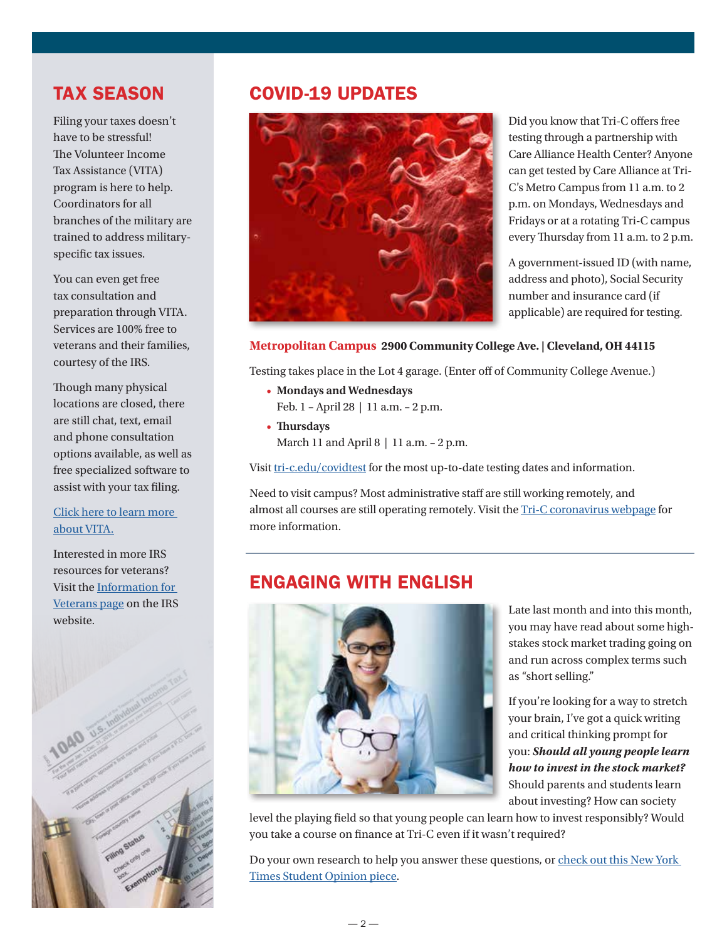## <span id="page-1-0"></span>TAX SEASON

Filing your taxes doesn't have to be stressful! The Volunteer Income Tax Assistance (VITA) program is here to help. Coordinators for all branches of the military are trained to address militaryspecific tax issues.

You can even get free tax consultation and preparation through VITA. Services are 100% free to veterans and their families, courtesy of the IRS.

Though many physical locations are closed, there are still chat, text, email and phone consultation options available, as well as free specialized software to assist with your tax filing.

#### [Click here to learn more](https://www.militaryonesource.mil/financial-legal/tax-resource-center/preparing-filing-and-refunds/volunteer-income-tax-assistance-program/)  [about VITA.](https://www.militaryonesource.mil/financial-legal/tax-resource-center/preparing-filing-and-refunds/volunteer-income-tax-assistance-program/)

Interested in more IRS resources for veterans? Visit the [Information for](https://www.irs.gov/individuals/information-for-veterans)  [Veterans page](https://www.irs.gov/individuals/information-for-veterans) on the IRS website.



## COVID-19 UPDATES



Did you know that Tri-C offers free testing through a partnership with Care Alliance Health Center? Anyone can get tested by Care Alliance at Tri-C's Metro Campus from 11 a.m. to 2 p.m. on Mondays, Wednesdays and Fridays or at a rotating Tri-C campus every Thursday from 11 a.m. to 2 p.m.

A government-issued ID (with name, address and photo), Social Security number and insurance card (if applicable) are required for testing.

#### **Metropolitan Campus 2900 Community College Ave. | Cleveland, OH 44115**

Testing takes place in the Lot 4 garage. (Enter off of Community College Avenue.)

- **Mondays and Wednesdays**
- Feb. 1 April 28 | 11 a.m. 2 p.m.
- **Thursdays** March 11 and April 8 | 11 a.m. - 2 p.m.

Visit [tri-c.edu/covidtest](https://www.tri-c.edu/administrative-departments/business-continuity/covid-19/covid-19-testing.html) for the most up-to-date testing dates and information.

Need to visit campus? Most administrative staff are still working remotely, and almost all courses are still operating remotely. Visit the [Tri-C coronavirus webpage](https://www.tri-c.edu/administrative-departments/business-continuity/covid-19/faculty-resources/november-2020.html#Nov18changes) for more information.

## ENGAGING WITH ENGLISH



Late last month and into this month, you may have read about some highstakes stock market trading going on and run across complex terms such as "short selling."

If you're looking for a way to stretch your brain, I've got a quick writing and critical thinking prompt for you: *Should all young people learn how to invest in the stock market?*  Should parents and students learn about investing? How can society

level the playing field so that young people can learn how to invest responsibly? Would you take a course on finance at Tri-C even if it wasn't required?

Do your own research to help you answer these questions, or [check out this New York](https://www.nytimes.com/2021/01/30/business/gamestop-stock-profit.html)  [Times Student Opinion piece](https://www.nytimes.com/2021/01/30/business/gamestop-stock-profit.html).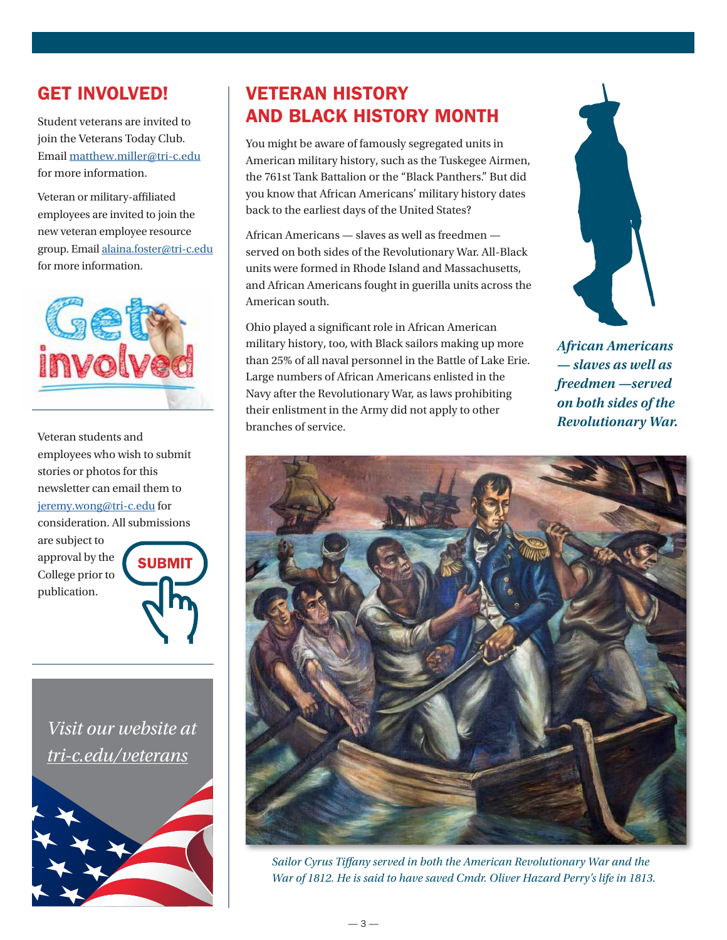## <span id="page-2-0"></span>GET INVOLVED!

Student veterans are invited to join the Veterans Today Club. Email [matthew.miller@tri-c.edu](mailto:matthew.miller%40tri-c.edu?subject=) for more information.

Veteran or military-affiliated employees are invited to join the new veteran employee resource group. Email [alaina.foster@tri-c.edu](mailto:alaina.foster%40tri-c.edu?subject=) for more information.



Veteran students and employees who wish to submit stories or photos for this newsletter can email them to [jeremy.wong@tri-c.edu](mailto:jeremy.wong%40tri-c.edu?subject=) for consideration. All submissions

are subject to approval by the College prior to publication.



*Visit our website at [tri-c.edu/veterans](https://www.tri-c.edu/veterans/)*



## VETERAN HISTORY AND BLACK HISTORY MONTH

You might be aware of famously segregated units in American military history, such as the Tuskegee Airmen, the 761st Tank Battalion or the "Black Panthers." But did you know that African Americans' military history dates back to the earliest days of the United States?

African Americans — slaves as well as freedmen served on both sides of the Revolutionary War. All-Black units were formed in Rhode Island and Massachusetts, and African Americans fought in guerilla units across the American south.

Ohio played a significant role in African American military history, too, with Black sailors making up more than 25% of all naval personnel in the Battle of Lake Erie. Large numbers of African Americans enlisted in the Navy after the Revolutionary War, as laws prohibiting their enlistment in the Army did not apply to other branches of service.



*African Americans — slaves as well as freedmen —served on both sides of the Revolutionary War.* 



*Sailor Cyrus Tiffany served in both the American Revolutionary War and the War of 1812. He is said to have saved Cmdr. Oliver Hazard Perry's life in 1813.*